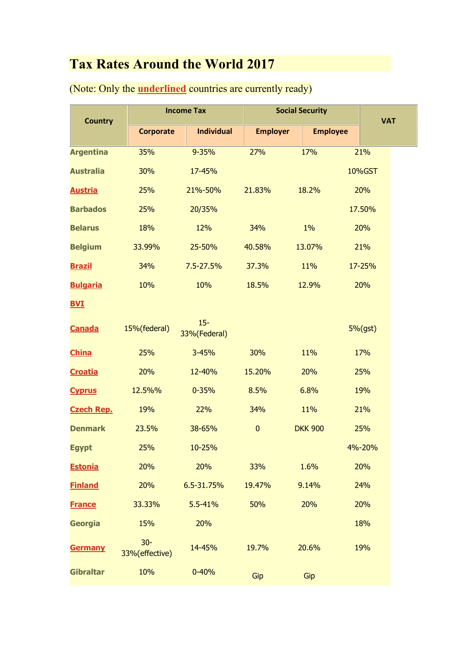## **Tax Rates Around the World 2017**

| <b>Country</b>    | <b>Income Tax</b>       |                        | <b>Social Security</b> |                 |  | <b>VAT</b> |
|-------------------|-------------------------|------------------------|------------------------|-----------------|--|------------|
|                   | <b>Corporate</b>        | <b>Individual</b>      | <b>Employer</b>        | <b>Employee</b> |  |            |
| <b>Argentina</b>  | 35%                     | 9-35%                  | 27%                    | 17%             |  | 21%        |
| <b>Australia</b>  | 30%                     | 17-45%                 |                        |                 |  | 10%GST     |
| <b>Austria</b>    | 25%                     | 21%-50%                | 21.83%                 | 18.2%           |  | 20%        |
| <b>Barbados</b>   | 25%                     | 20/35%                 |                        |                 |  | 17.50%     |
| <b>Belarus</b>    | 18%                     | 12%                    | 34%                    | $1\%$           |  | 20%        |
| <b>Belgium</b>    | 33.99%                  | 25-50%                 | 40.58%                 | 13.07%          |  | 21%        |
| <b>Brazil</b>     | 34%                     | 7.5-27.5%              | 37.3%                  | 11%             |  | 17-25%     |
| <b>Bulgaria</b>   | 10%                     | 10%                    | 18.5%                  | 12.9%           |  | 20%        |
| <b>BVI</b>        |                         |                        |                        |                 |  |            |
| <b>Canada</b>     | 15%(federal)            | $15 -$<br>33%(Federal) |                        |                 |  | $5%$ (gst) |
| <b>China</b>      | 25%                     | 3-45%                  | 30%                    | 11%             |  | 17%        |
| <b>Croatia</b>    | 20%                     | 12-40%                 | 15.20%                 | 20%             |  | 25%        |
| <b>Cyprus</b>     | 12.5%%                  | $0 - 35%$              | 8.5%                   | 6.8%            |  | 19%        |
| <b>Czech Rep.</b> | 19%                     | 22%                    | 34%                    | 11%             |  | 21%        |
| <b>Denmark</b>    | 23.5%                   | 38-65%                 | $\pmb{0}$              | <b>DKK 900</b>  |  | 25%        |
| <b>Egypt</b>      | 25%                     | 10-25%                 |                        |                 |  | 4%-20%     |
| <b>Estonia</b>    | 20%                     | 20%                    | 33%                    | 1.6%            |  | 20%        |
| <b>Finland</b>    | 20%                     | 6.5-31.75%             | 19.47%                 | 9.14%           |  | 24%        |
| <b>France</b>     | 33.33%                  | 5.5-41%                | 50%                    | 20%             |  | 20%        |
| Georgia           | 15%                     | 20%                    |                        |                 |  | 18%        |
| <b>Germany</b>    | $30-$<br>33%(effective) | 14-45%                 | 19.7%                  | 20.6%           |  | 19%        |
| <b>Gibraltar</b>  | 10%                     | $0 - 40%$              | Gip                    | Gip             |  |            |

(Note: Only the **underlined** countries are currently ready)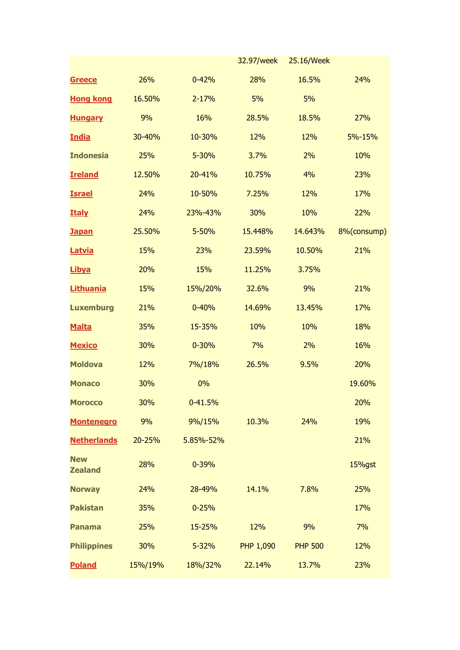|                              |         |           | 32.97/week       | 25.16/Week     |             |
|------------------------------|---------|-----------|------------------|----------------|-------------|
| <b>Greece</b>                | 26%     | $0 - 42%$ | 28%              | 16.5%          | 24%         |
| <b>Hong kong</b>             | 16.50%  | $2 - 17%$ | 5%               | 5%             |             |
| <b>Hungary</b>               | 9%      | 16%       | 28.5%            | 18.5%          | 27%         |
| <b>India</b>                 | 30-40%  | 10-30%    | 12%              | 12%            | 5%-15%      |
| <b>Indonesia</b>             | 25%     | 5-30%     | 3.7%             | 2%             | 10%         |
| <b>Ireland</b>               | 12.50%  | 20-41%    | 10.75%           | 4%             | 23%         |
| <b>Israel</b>                | 24%     | 10-50%    | 7.25%            | 12%            | 17%         |
| <b>Italy</b>                 | 24%     | 23%-43%   | 30%              | 10%            | 22%         |
| <b>Japan</b>                 | 25.50%  | 5-50%     | 15.448%          | 14.643%        | 8%(consump) |
| Latvia                       | 15%     | 23%       | 23.59%           | 10.50%         | 21%         |
| <b>Libya</b>                 | 20%     | 15%       | 11.25%           | 3.75%          |             |
| <b>Lithuania</b>             | 15%     | 15%/20%   | 32.6%            | 9%             | 21%         |
| <b>Luxemburg</b>             | 21%     | $0 - 40%$ | 14.69%           | 13.45%         | 17%         |
| <b>Malta</b>                 | 35%     | 15-35%    | 10%              | 10%            | 18%         |
| <b>Mexico</b>                | 30%     | $0 - 30%$ | 7%               | 2%             | 16%         |
| <b>Moldova</b>               | 12%     | 7%/18%    | 26.5%            | 9.5%           | 20%         |
| <b>Monaco</b>                | 30%     | 0%        |                  |                | 19.60%      |
| <b>Morocco</b>               | 30%     | 0-41.5%   |                  |                | 20%         |
| <b>Montenegro</b>            | 9%      | 9%/15%    | 10.3%            | 24%            | 19%         |
| <b>Netherlands</b>           | 20-25%  | 5.85%-52% |                  |                | 21%         |
| <b>New</b><br><b>Zealand</b> | 28%     | $0 - 39%$ |                  |                | 15%gst      |
| <b>Norway</b>                | 24%     | 28-49%    | 14.1%            | 7.8%           | 25%         |
| <b>Pakistan</b>              | 35%     | $0 - 25%$ |                  |                | 17%         |
| <b>Panama</b>                | 25%     | 15-25%    | 12%              | 9%             | 7%          |
| <b>Philippines</b>           | 30%     | 5-32%     | <b>PHP 1,090</b> | <b>PHP 500</b> | 12%         |
| <b>Poland</b>                | 15%/19% | 18%/32%   | 22.14%           | 13.7%          | 23%         |